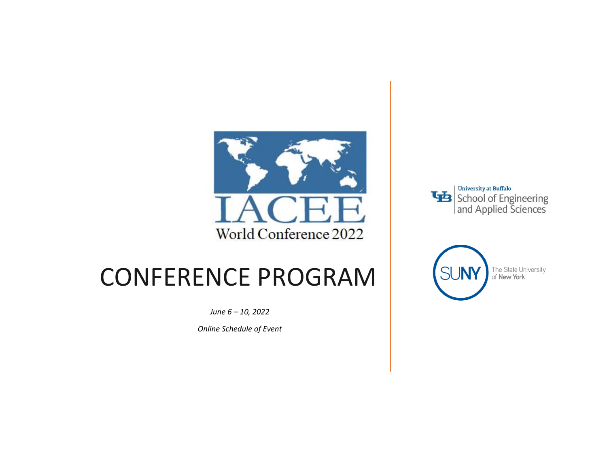

## CONFERENCE PROGRAM

*June 6 – 10, 2022*

*Online Schedule of Event*



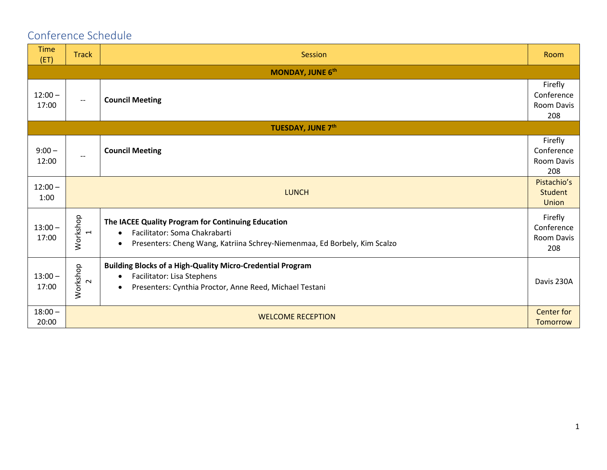### Conference Schedule

| <b>Time</b><br>(ET) | <b>Track</b>                                                     | Session                                                                                                                                                                                    | Room                                       |  |  |  |
|---------------------|------------------------------------------------------------------|--------------------------------------------------------------------------------------------------------------------------------------------------------------------------------------------|--------------------------------------------|--|--|--|
| MONDAY, JUNE 6th    |                                                                  |                                                                                                                                                                                            |                                            |  |  |  |
| $12:00 -$<br>17:00  | $\overline{\phantom{a}}$                                         | <b>Council Meeting</b>                                                                                                                                                                     | Firefly<br>Conference<br>Room Davis<br>208 |  |  |  |
|                     |                                                                  | <b>TUESDAY, JUNE 7th</b>                                                                                                                                                                   |                                            |  |  |  |
| $9:00 -$<br>12:00   | $-\!$ $\!-$                                                      | <b>Council Meeting</b>                                                                                                                                                                     | Firefly<br>Conference<br>Room Davis<br>208 |  |  |  |
| $12:00 -$<br>1:00   | <b>LUNCH</b>                                                     |                                                                                                                                                                                            |                                            |  |  |  |
| $13:00 -$<br>17:00  | Workshop<br>$\overline{\phantom{0}}$                             | The IACEE Quality Program for Continuing Education<br>Facilitator: Soma Chakrabarti<br>$\bullet$<br>Presenters: Cheng Wang, Katriina Schrey-Niemenmaa, Ed Borbely, Kim Scalzo<br>$\bullet$ | Firefly<br>Conference<br>Room Davis<br>208 |  |  |  |
| $13:00 -$<br>17:00  | Workshop<br>$\sim$                                               | <b>Building Blocks of a High-Quality Micro-Credential Program</b><br>Facilitator: Lisa Stephens<br>$\bullet$<br>Presenters: Cynthia Proctor, Anne Reed, Michael Testani<br>$\bullet$       | Davis 230A                                 |  |  |  |
| $18:00 -$<br>20:00  | <b>Center for</b><br><b>WELCOME RECEPTION</b><br><b>Tomorrow</b> |                                                                                                                                                                                            |                                            |  |  |  |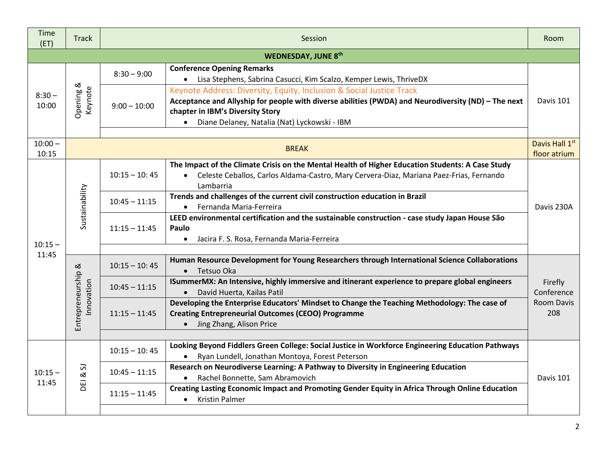| Time<br>(ET)       | <b>Track</b>                           |                 | Session                                                                                                                                                                                                                                                                      | Room                                                                                                                                                               |  |
|--------------------|----------------------------------------|-----------------|------------------------------------------------------------------------------------------------------------------------------------------------------------------------------------------------------------------------------------------------------------------------------|--------------------------------------------------------------------------------------------------------------------------------------------------------------------|--|
|                    |                                        |                 | <b>WEDNESDAY, JUNE 8th</b>                                                                                                                                                                                                                                                   |                                                                                                                                                                    |  |
| $8:30 -$<br>10:00  | Opening &<br>Keynote                   | $8:30 - 9:00$   | <b>Conference Opening Remarks</b><br>• Lisa Stephens, Sabrina Casucci, Kim Scalzo, Kemper Lewis, ThriveDX                                                                                                                                                                    |                                                                                                                                                                    |  |
|                    |                                        | $9:00 - 10:00$  | Keynote Address: Diversity, Equity, Inclusion & Social Justice Track<br>Acceptance and Allyship for people with diverse abilities (PWDA) and Neurodiversity (ND) - The next<br>chapter in IBM's Diversity Story<br>Diane Delaney, Natalia (Nat) Lyckowski - IBM<br>$\bullet$ | Davis 101                                                                                                                                                          |  |
| $10:00 -$<br>10:15 |                                        |                 | <b>BREAK</b>                                                                                                                                                                                                                                                                 | Davis Hall 1st<br>floor atrium                                                                                                                                     |  |
|                    | Sustainability                         | $10:15 - 10:45$ | The Impact of the Climate Crisis on the Mental Health of Higher Education Students: A Case Study<br>Celeste Ceballos, Carlos Aldama-Castro, Mary Cervera-Diaz, Mariana Paez-Frias, Fernando<br>$\bullet$<br>Lambarria                                                        |                                                                                                                                                                    |  |
|                    |                                        | $10:45 - 11:15$ | Trends and challenges of the current civil construction education in Brazil<br>• Fernanda Maria-Ferreira                                                                                                                                                                     | Davis 230A                                                                                                                                                         |  |
| $10:15 -$          |                                        |                 | $11:15 - 11:45$                                                                                                                                                                                                                                                              | LEED environmental certification and the sustainable construction - case study Japan House São<br>Paulo<br>Jacira F. S. Rosa, Fernanda Maria-Ferreira<br>$\bullet$ |  |
| 11:45              |                                        |                 |                                                                                                                                                                                                                                                                              |                                                                                                                                                                    |  |
|                    | Entrepreneurship &<br>Innovation       | $10:15 - 10:45$ | Human Resource Development for Young Researchers through International Science Collaborations<br>• Tetsuo Oka                                                                                                                                                                |                                                                                                                                                                    |  |
|                    |                                        | $10:45 - 11:15$ | ISummerMX: An Intensive, highly immersive and itinerant experience to prepare global engineers<br>• David Huerta, Kailas Patil                                                                                                                                               | Firefly<br>Conference                                                                                                                                              |  |
|                    |                                        | $11:15 - 11:45$ | Developing the Enterprise Educators' Mindset to Change the Teaching Methodology: The case of<br><b>Creating Entrepreneurial Outcomes (CEOO) Programme</b><br>• Jing Zhang, Alison Price                                                                                      | Room Davis<br>208                                                                                                                                                  |  |
|                    |                                        |                 |                                                                                                                                                                                                                                                                              |                                                                                                                                                                    |  |
|                    | 5<br>$\rm \approx$<br>$\overline{\Xi}$ | $10:15 - 10:45$ | Looking Beyond Fiddlers Green College: Social Justice in Workforce Engineering Education Pathways<br>• Ryan Lundell, Jonathan Montoya, Forest Peterson                                                                                                                       |                                                                                                                                                                    |  |
| $10:15 -$<br>11:45 |                                        | $10:45 - 11:15$ | Research on Neurodiverse Learning: A Pathway to Diversity in Engineering Education<br>Rachel Bonnette, Sam Abramovich<br>$\bullet$                                                                                                                                           | Davis 101                                                                                                                                                          |  |
|                    |                                        | $11:15 - 11:45$ | Creating Lasting Economic Impact and Promoting Gender Equity in Africa Through Online Education<br>• Kristin Palmer                                                                                                                                                          |                                                                                                                                                                    |  |
|                    |                                        |                 |                                                                                                                                                                                                                                                                              |                                                                                                                                                                    |  |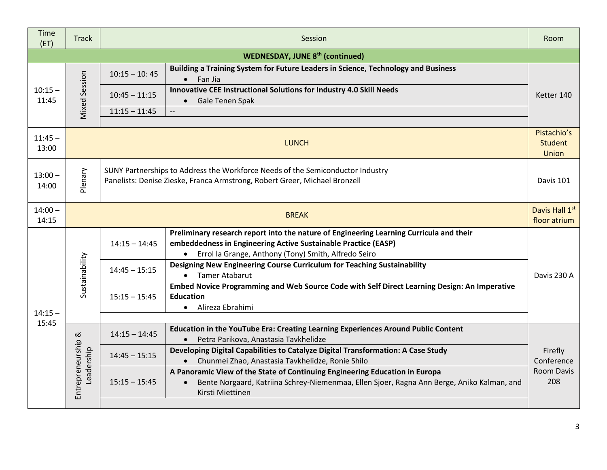| Time<br>(ET)                           | <b>Track</b>                     |                                                                                                                                                                           | Session                                                                                                                                                                                                             | Room                                                                                                                                   |  |  |  |
|----------------------------------------|----------------------------------|---------------------------------------------------------------------------------------------------------------------------------------------------------------------------|---------------------------------------------------------------------------------------------------------------------------------------------------------------------------------------------------------------------|----------------------------------------------------------------------------------------------------------------------------------------|--|--|--|
| <b>WEDNESDAY, JUNE 8th (continued)</b> |                                  |                                                                                                                                                                           |                                                                                                                                                                                                                     |                                                                                                                                        |  |  |  |
| $10:15 -$<br>11:45                     | <b>Mixed Session</b>             | $10:15 - 10:45$                                                                                                                                                           | Building a Training System for Future Leaders in Science, Technology and Business<br>$\bullet$ Fan Jia                                                                                                              |                                                                                                                                        |  |  |  |
|                                        |                                  | $10:45 - 11:15$                                                                                                                                                           | Innovative CEE Instructional Solutions for Industry 4.0 Skill Needs<br>Gale Tenen Spak<br>$\bullet$                                                                                                                 | Ketter 140                                                                                                                             |  |  |  |
|                                        |                                  | $11:15 - 11:45$                                                                                                                                                           | $\overline{\phantom{a}}$                                                                                                                                                                                            |                                                                                                                                        |  |  |  |
| $11:45 -$<br>13:00                     |                                  |                                                                                                                                                                           | Pistachio's<br><b>LUNCH</b><br><b>Student</b>                                                                                                                                                                       |                                                                                                                                        |  |  |  |
| $13:00 -$<br>14:00                     | Plenary                          | SUNY Partnerships to Address the Workforce Needs of the Semiconductor Industry<br>Panelists: Denise Zieske, Franca Armstrong, Robert Greer, Michael Bronzell<br>Davis 101 |                                                                                                                                                                                                                     |                                                                                                                                        |  |  |  |
| $14:00 -$<br>14:15                     |                                  | Davis Hall 1st<br><b>BREAK</b><br>floor atrium                                                                                                                            |                                                                                                                                                                                                                     |                                                                                                                                        |  |  |  |
|                                        | Sustainability                   | $14:15 - 14:45$                                                                                                                                                           | Preliminary research report into the nature of Engineering Learning Curricula and their<br>embeddedness in Engineering Active Sustainable Practice (EASP)<br>• Errol la Grange, Anthony (Tony) Smith, Alfredo Seiro |                                                                                                                                        |  |  |  |
|                                        |                                  | $14:45 - 15:15$                                                                                                                                                           | Designing New Engineering Course Curriculum for Teaching Sustainability<br>• Tamer Atabarut                                                                                                                         | Davis 230 A                                                                                                                            |  |  |  |
| $14:15 -$                              |                                  |                                                                                                                                                                           | $15:15 - 15:45$                                                                                                                                                                                                     | Embed Novice Programming and Web Source Code with Self Direct Learning Design: An Imperative<br><b>Education</b><br>• Alireza Ebrahimi |  |  |  |
| 15:45                                  |                                  |                                                                                                                                                                           |                                                                                                                                                                                                                     |                                                                                                                                        |  |  |  |
|                                        |                                  | $14:15 - 14:45$                                                                                                                                                           | Education in the YouTube Era: Creating Learning Experiences Around Public Content<br>· Petra Parikova, Anastasia Tavkhelidze                                                                                        |                                                                                                                                        |  |  |  |
|                                        | Entrepreneurship &<br>Leadership | $14:45 - 15:15$                                                                                                                                                           | Developing Digital Capabilities to Catalyze Digital Transformation: A Case Study<br>• Chunmei Zhao, Anastasia Tavkhelidze, Ronie Shilo                                                                              | Firefly<br>Conference                                                                                                                  |  |  |  |
|                                        |                                  | $15:15 - 15:45$                                                                                                                                                           | A Panoramic View of the State of Continuing Engineering Education in Europa<br>Bente Norgaard, Katriina Schrey-Niemenmaa, Ellen Sjoer, Ragna Ann Berge, Aniko Kalman, and<br>$\bullet$<br>Kirsti Miettinen          | Room Davis<br>208                                                                                                                      |  |  |  |
|                                        |                                  |                                                                                                                                                                           |                                                                                                                                                                                                                     |                                                                                                                                        |  |  |  |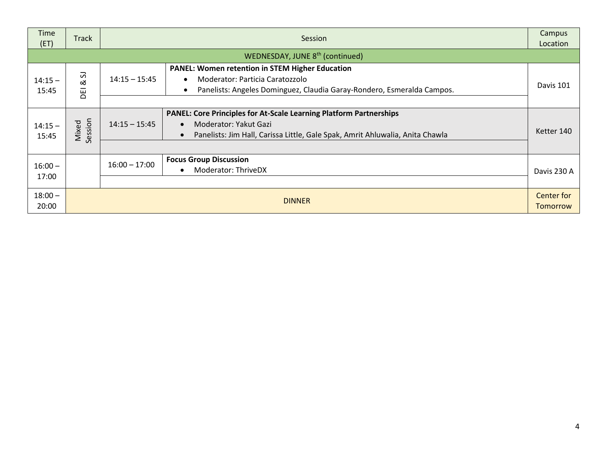| Time<br>(ET)       | <b>Track</b>     | Session                                                                                                                                                                                                          |                               |  |
|--------------------|------------------|------------------------------------------------------------------------------------------------------------------------------------------------------------------------------------------------------------------|-------------------------------|--|
|                    |                  | WEDNESDAY, JUNE 8th (continued)                                                                                                                                                                                  |                               |  |
| $14:15 -$<br>15:45 | 2<br>ಹ<br>EI     | <b>PANEL: Women retention in STEM Higher Education</b><br>$14:15 - 15:45$<br>Moderator: Particia Caratozzolo<br>$\bullet$<br>Panelists: Angeles Dominguez, Claudia Garay-Rondero, Esmeralda Campos.<br>$\bullet$ | Davis 101                     |  |
| $14:15 -$<br>15:45 | Session<br>Mixed | <b>PANEL: Core Principles for At-Scale Learning Platform Partnerships</b><br>$14:15 - 15:45$<br>Moderator: Yakut Gazi<br>Panelists: Jim Hall, Carissa Little, Gale Spak, Amrit Ahluwalia, Anita Chawla           | Ketter 140                    |  |
| $16:00 -$<br>17:00 |                  | <b>Focus Group Discussion</b><br>$16:00 - 17:00$<br>Moderator: ThriveDX                                                                                                                                          | Davis 230 A                   |  |
| $18:00 -$<br>20:00 |                  | <b>DINNER</b>                                                                                                                                                                                                    | Center for<br><b>Tomorrow</b> |  |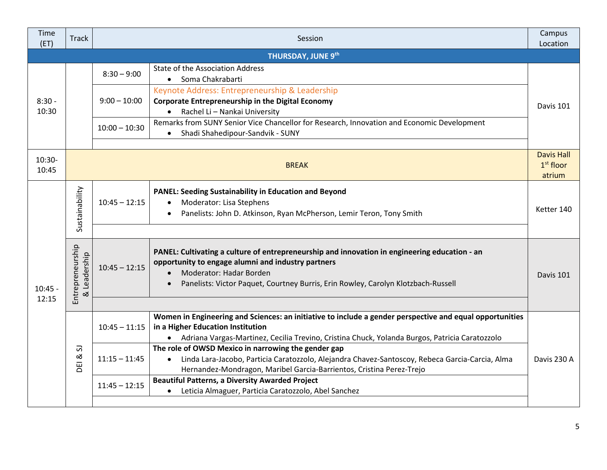| Time<br>(ET)      | <b>Track</b>                               | Session         |                                                                                                                                                                                                                                                                     |                                            |
|-------------------|--------------------------------------------|-----------------|---------------------------------------------------------------------------------------------------------------------------------------------------------------------------------------------------------------------------------------------------------------------|--------------------------------------------|
|                   |                                            |                 | <b>THURSDAY, JUNE 9th</b>                                                                                                                                                                                                                                           |                                            |
| $8:30 -$<br>10:30 |                                            | $8:30 - 9:00$   | State of the Association Address<br>Soma Chakrabarti<br>$\bullet$                                                                                                                                                                                                   |                                            |
|                   |                                            | $9:00 - 10:00$  | Keynote Address: Entrepreneurship & Leadership<br><b>Corporate Entrepreneurship in the Digital Economy</b><br>Rachel Li - Nankai University                                                                                                                         | Davis 101                                  |
|                   |                                            | $10:00 - 10:30$ | Remarks from SUNY Senior Vice Chancellor for Research, Innovation and Economic Development<br>Shadi Shahedipour-Sandvik - SUNY<br>$\bullet$                                                                                                                         |                                            |
| $10:30-$<br>10:45 |                                            |                 | <b>BREAK</b>                                                                                                                                                                                                                                                        | <b>Davis Hall</b><br>$1st$ floor<br>atrium |
|                   | Sustainability                             | $10:45 - 12:15$ | <b>PANEL: Seeding Sustainability in Education and Beyond</b><br>Moderator: Lisa Stephens<br>$\bullet$<br>Panelists: John D. Atkinson, Ryan McPherson, Lemir Teron, Tony Smith                                                                                       | Ketter 140                                 |
|                   |                                            |                 |                                                                                                                                                                                                                                                                     |                                            |
| $10:45 -$         | Entrepreneurship<br>Leadership<br>$\infty$ | $10:45 - 12:15$ | PANEL: Cultivating a culture of entrepreneurship and innovation in engineering education - an<br>opportunity to engage alumni and industry partners<br>Moderator: Hadar Borden<br>Panelists: Victor Paquet, Courtney Burris, Erin Rowley, Carolyn Klotzbach-Russell | Davis 101                                  |
| 12:15             |                                            |                 |                                                                                                                                                                                                                                                                     |                                            |
|                   | 5<br>ಹ<br><b>DEI</b>                       | $10:45 - 11:15$ | Women in Engineering and Sciences: an initiative to include a gender perspective and equal opportunities<br>in a Higher Education Institution<br>• Adriana Vargas-Martinez, Cecilia Trevino, Cristina Chuck, Yolanda Burgos, Patricia Caratozzolo                   |                                            |
|                   |                                            | $11:15 - 11:45$ | The role of OWSD Mexico in narrowing the gender gap<br>Linda Lara-Jacobo, Particia Caratozzolo, Alejandra Chavez-Santoscoy, Rebeca Garcia-Carcia, Alma<br>$\bullet$<br>Hernandez-Mondragon, Maribel Garcia-Barrientos, Cristina Perez-Trejo                         | Davis 230 A                                |
|                   |                                            | $11:45 - 12:15$ | <b>Beautiful Patterns, a Diversity Awarded Project</b><br>Leticia Almaguer, Particia Caratozzolo, Abel Sanchez<br>$\bullet$                                                                                                                                         |                                            |
|                   |                                            |                 |                                                                                                                                                                                                                                                                     |                                            |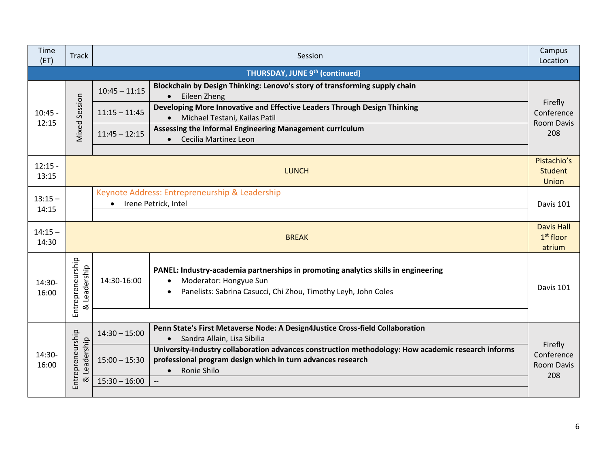| Time<br>(ET)       | <b>Track</b>                               | Session                                                                             |                                                                                                                                                                                                                                           |                                                   |  |  |
|--------------------|--------------------------------------------|-------------------------------------------------------------------------------------|-------------------------------------------------------------------------------------------------------------------------------------------------------------------------------------------------------------------------------------------|---------------------------------------------------|--|--|
|                    | <b>THURSDAY, JUNE 9th (continued)</b>      |                                                                                     |                                                                                                                                                                                                                                           |                                                   |  |  |
| $10:45 -$          | Session                                    | $10:45 - 11:15$                                                                     | Blockchain by Design Thinking: Lenovo's story of transforming supply chain<br>Eileen Zheng<br>$\bullet$                                                                                                                                   |                                                   |  |  |
|                    |                                            | $11:15 - 11:45$                                                                     | Developing More Innovative and Effective Leaders Through Design Thinking<br>Michael Testani, Kailas Patil                                                                                                                                 | Firefly<br>Conference<br><b>Room Davis</b>        |  |  |
| 12:15              | Mixed                                      | $11:45 - 12:15$                                                                     | Assessing the informal Engineering Management curriculum<br>Cecilia Martinez Leon<br>$\bullet$                                                                                                                                            | 208                                               |  |  |
| $12:15 -$<br>13:15 |                                            | Pistachio's<br><b>LUNCH</b>                                                         |                                                                                                                                                                                                                                           |                                                   |  |  |
| $13:15 -$<br>14:15 |                                            | Keynote Address: Entrepreneurship & Leadership<br>Irene Petrick, Intel<br>Davis 101 |                                                                                                                                                                                                                                           |                                                   |  |  |
| $14:15 -$<br>14:30 |                                            | <b>BREAK</b>                                                                        |                                                                                                                                                                                                                                           |                                                   |  |  |
| 14:30-<br>16:00    | Entrepreneurship<br>Leadership<br>$\infty$ | 14:30-16:00                                                                         | PANEL: Industry-academia partnerships in promoting analytics skills in engineering<br>Moderator: Hongyue Sun<br>Panelists: Sabrina Casucci, Chi Zhou, Timothy Leyh, John Coles<br>$\bullet$                                               | Davis 101                                         |  |  |
| 14:30-<br>16:00    | Entrepreneurship<br>Leadership<br>ಡ        | $14:30 - 15:00$                                                                     | Penn State's First Metaverse Node: A Design4Justice Cross-field Collaboration                                                                                                                                                             |                                                   |  |  |
|                    |                                            | $15:00 - 15:30$                                                                     | Sandra Allain, Lisa Sibilia<br>$\bullet$<br>University-Industry collaboration advances construction methodology: How academic research informs<br>professional program design which in turn advances research<br>Ronie Shilo<br>$\bullet$ | Firefly<br>Conference<br><b>Room Davis</b><br>208 |  |  |
|                    |                                            | $15:30 - 16:00$                                                                     | $\overline{\phantom{a}}$                                                                                                                                                                                                                  |                                                   |  |  |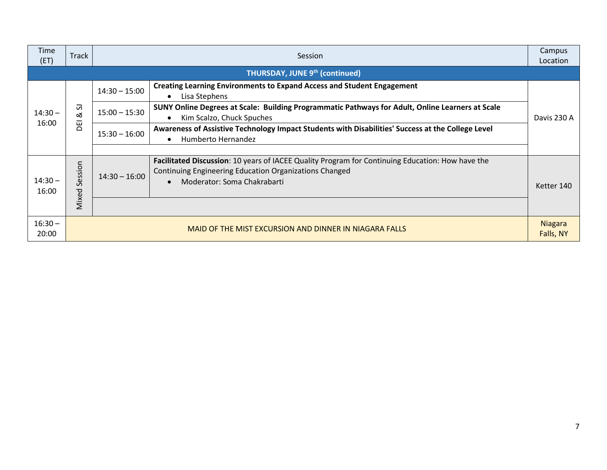| Time<br>(ET)       | <b>Track</b>                                           | Session         |                                                                                                                                                                                           |                                                                                                                               |             |  |
|--------------------|--------------------------------------------------------|-----------------|-------------------------------------------------------------------------------------------------------------------------------------------------------------------------------------------|-------------------------------------------------------------------------------------------------------------------------------|-------------|--|
|                    | <b>THURSDAY, JUNE 9th (continued)</b>                  |                 |                                                                                                                                                                                           |                                                                                                                               |             |  |
| $14:30 -$<br>16:00 | 5<br>ಡ<br>품                                            | $14:30 - 15:00$ | <b>Creating Learning Environments to Expand Access and Student Engagement</b><br>Lisa Stephens                                                                                            |                                                                                                                               |             |  |
|                    |                                                        |                 | $15:00 - 15:30$                                                                                                                                                                           | SUNY Online Degrees at Scale: Building Programmatic Pathways for Adult, Online Learners at Scale<br>Kim Scalzo, Chuck Spuches | Davis 230 A |  |
|                    |                                                        | $15:30 - 16:00$ | Awareness of Assistive Technology Impact Students with Disabilities' Success at the College Level<br>Humberto Hernandez                                                                   |                                                                                                                               |             |  |
| $14:30 -$<br>16:00 | ession<br>$\Omega$<br>Mixed                            | $14:30 - 16:00$ | Facilitated Discussion: 10 years of IACEE Quality Program for Continuing Education: How have the<br>Continuing Engineering Education Organizations Changed<br>Moderator: Soma Chakrabarti | Ketter 140                                                                                                                    |             |  |
| $16:30 -$<br>20:00 | MAID OF THE MIST EXCURSION AND DINNER IN NIAGARA FALLS |                 |                                                                                                                                                                                           | <b>Niagara</b><br>Falls, NY                                                                                                   |             |  |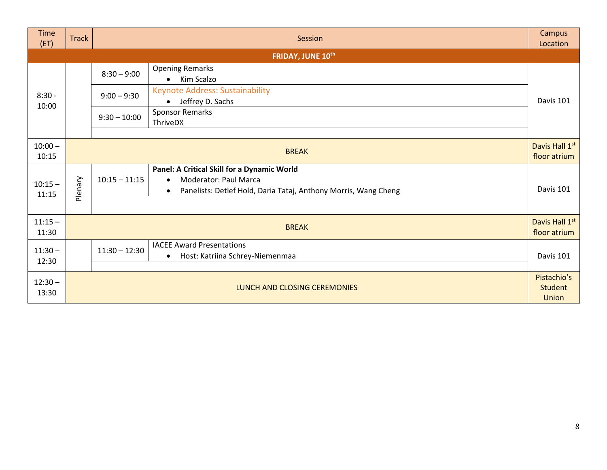| Time<br>(ET)       | <b>Track</b> | Session         |                                                                                                                                                                          |                                        |
|--------------------|--------------|-----------------|--------------------------------------------------------------------------------------------------------------------------------------------------------------------------|----------------------------------------|
|                    |              |                 | FRIDAY, JUNE 10th                                                                                                                                                        |                                        |
|                    |              | $8:30 - 9:00$   | <b>Opening Remarks</b><br>Kim Scalzo<br>$\bullet$                                                                                                                        |                                        |
| $8:30 -$<br>10:00  |              | $9:00 - 9:30$   | <b>Keynote Address: Sustainability</b><br>Jeffrey D. Sachs                                                                                                               | Davis 101                              |
|                    |              | $9:30 - 10:00$  | <b>Sponsor Remarks</b><br>ThriveDX                                                                                                                                       |                                        |
| $10:00 -$<br>10:15 |              |                 | <b>BREAK</b>                                                                                                                                                             | Davis Hall 1st<br>floor atrium         |
| $10:15 -$<br>11:15 | Plenary      | $10:15 - 11:15$ | Panel: A Critical Skill for a Dynamic World<br><b>Moderator: Paul Marca</b><br>$\bullet$<br>Panelists: Detlef Hold, Daria Tataj, Anthony Morris, Wang Cheng<br>$\bullet$ | Davis 101                              |
| $11:15 -$<br>11:30 |              |                 | <b>BREAK</b>                                                                                                                                                             | Davis Hall 1st<br>floor atrium         |
| $11:30 -$<br>12:30 |              | $11:30 - 12:30$ | <b>IACEE Award Presentations</b><br>Host: Katriina Schrey-Niemenmaa<br>$\bullet$                                                                                         | Davis 101                              |
| $12:30 -$<br>13:30 |              |                 | LUNCH AND CLOSING CEREMONIES                                                                                                                                             | Pistachio's<br><b>Student</b><br>Union |